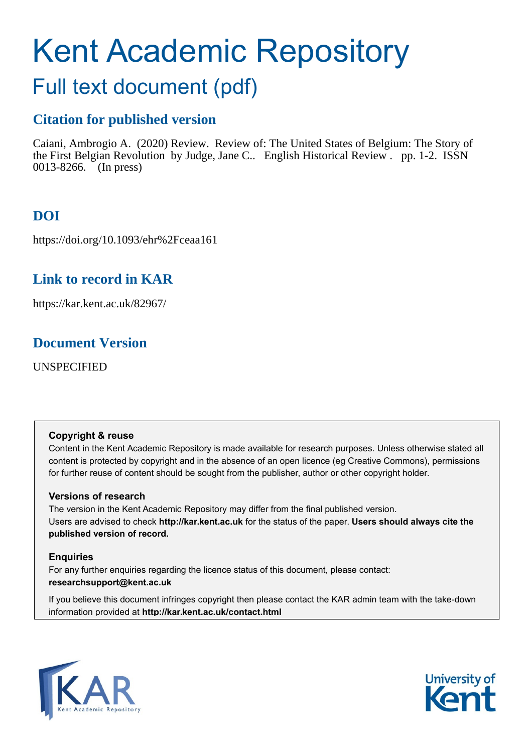# Kent Academic Repository

# Full text document (pdf)

# **Citation for published version**

Caiani, Ambrogio A. (2020) Review. Review of: The United States of Belgium: The Story of the First Belgian Revolution by Judge, Jane C.. English Historical Review . pp. 1-2. ISSN 0013-8266. (In press)

# **DOI**

https://doi.org/10.1093/ehr%2Fceaa161

# **Link to record in KAR**

https://kar.kent.ac.uk/82967/

# **Document Version**

UNSPECIFIED

### **Copyright & reuse**

Content in the Kent Academic Repository is made available for research purposes. Unless otherwise stated all content is protected by copyright and in the absence of an open licence (eg Creative Commons), permissions for further reuse of content should be sought from the publisher, author or other copyright holder.

### **Versions of research**

The version in the Kent Academic Repository may differ from the final published version. Users are advised to check **http://kar.kent.ac.uk** for the status of the paper. **Users should always cite the published version of record.**

### **Enquiries**

For any further enquiries regarding the licence status of this document, please contact: **researchsupport@kent.ac.uk**

If you believe this document infringes copyright then please contact the KAR admin team with the take-down information provided at **http://kar.kent.ac.uk/contact.html**



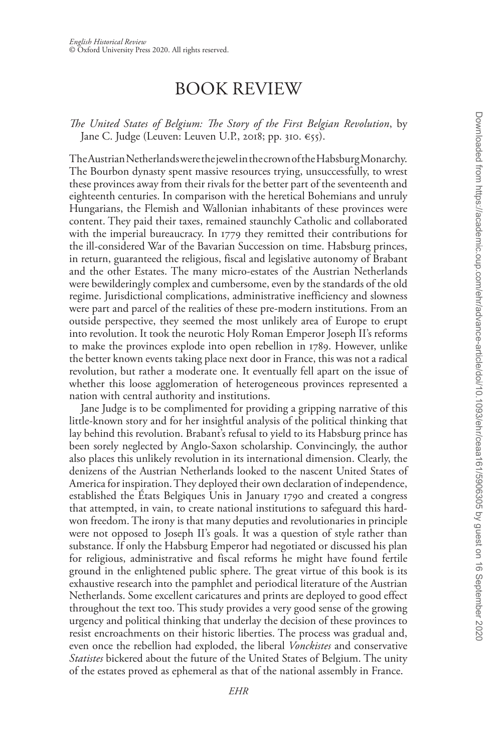Downloaded from https://academic.oup.com/ehr/advance-article/doi/10.1093/ehr/ceaa161/5906305 by guest on 16 September 2020 Downloaded from https://academic.oup.com/ehr/advance-article/doi/10.1093/ehr/ceaa161/5906305 by guest on 16 September 2020

## BOOK REVIEW

*The United States of Belgium: The Story of the First Belgian Revolution*, by Jane C. Judge (Leuven: Leuven U.P., 2018; pp. 310. €55).

The Austrian Netherlands were the jewel in the crown of the Habsburg Monarchy. The Bourbon dynasty spent massive resources trying, unsuccessfully, to wrest these provinces away from their rivals for the better part of the seventeenth and eighteenth centuries. In comparison with the heretical Bohemians and unruly Hungarians, the Flemish and Wallonian inhabitants of these provinces were content. They paid their taxes, remained staunchly Catholic and collaborated with the imperial bureaucracy. In 1779 they remitted their contributions for the ill-considered War of the Bavarian Succession on time. Habsburg princes, in return, guaranteed the religious, fiscal and legislative autonomy of Brabant and the other Estates. The many micro-estates of the Austrian Netherlands were bewilderingly complex and cumbersome, even by the standards of the old regime. Jurisdictional complications, administrative inefficiency and slowness were part and parcel of the realities of these pre-modern institutions. From an outside perspective, they seemed the most unlikely area of Europe to erupt into revolution. It took the neurotic Holy Roman Emperor Joseph II's reforms to make the provinces explode into open rebellion in 1789. However, unlike the better known events taking place next door in France, this was not a radical revolution, but rather a moderate one. It eventually fell apart on the issue of whether this loose agglomeration of heterogeneous provinces represented a nation with central authority and institutions.

Jane Judge is to be complimented for providing a gripping narrative of this little-known story and for her insightful analysis of the political thinking that lay behind this revolution. Brabant's refusal to yield to its Habsburg prince has been sorely neglected by Anglo-Saxon scholarship. Convincingly, the author also places this unlikely revolution in its international dimension. Clearly, the denizens of the Austrian Netherlands looked to the nascent United States of America for inspiration. They deployed their own declaration of independence, established the États Belgiques Unis in January 1790 and created a congress that attempted, in vain, to create national institutions to safeguard this hardwon freedom. The irony is that many deputies and revolutionaries in principle were not opposed to Joseph II's goals. It was a question of style rather than substance. If only the Habsburg Emperor had negotiated or discussed his plan for religious, administrative and fiscal reforms he might have found fertile ground in the enlightened public sphere. The great virtue of this book is its exhaustive research into the pamphlet and periodical literature of the Austrian Netherlands. Some excellent caricatures and prints are deployed to good effect throughout the text too. This study provides a very good sense of the growing urgency and political thinking that underlay the decision of these provinces to resist encroachments on their historic liberties. The process was gradual and, even once the rebellion had exploded, the liberal *Vonckistes* and conservative *Statistes* bickered about the future of the United States of Belgium. The unity of the estates proved as ephemeral as that of the national assembly in France.